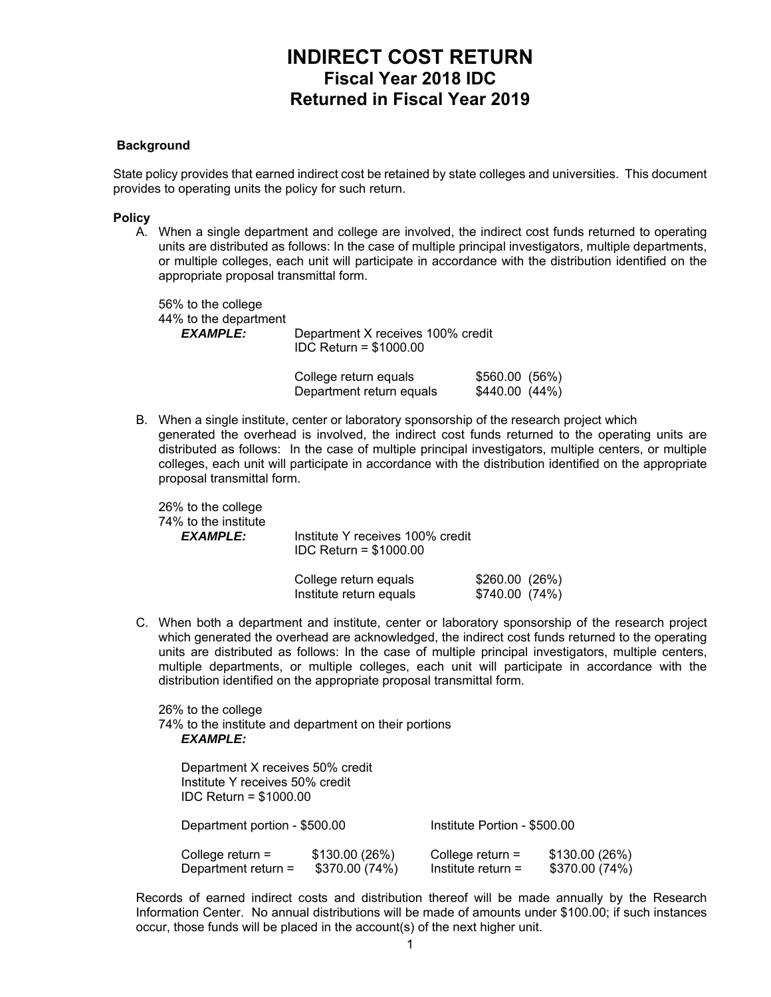# **INDIRECT COST RETURN Fiscal Year 2018 IDC Returned in Fiscal Year 2019**

### **Background**

State policy provides that earned indirect cost be retained by state colleges and universities. This document provides to operating units the policy for such return.

#### **Policy**

A. When a single department and college are involved, the indirect cost funds returned to operating units are distributed as follows: In the case of multiple principal investigators, multiple departments, or multiple colleges, each unit will participate in accordance with the distribution identified on the appropriate proposal transmittal form.

 56% to the college 44% to the department *EXAMPLE:* Department X receives 100% credit IDC Return = \$1000.00 College return equals  $$560.00$  (56%)

|  |                                                                                            | Department return equals | \$440.00(44%) |  |
|--|--------------------------------------------------------------------------------------------|--------------------------|---------------|--|
|  | B. When a single institute, center or laboratory sponsorship of the research project which |                          |               |  |

generated the overhead is involved, the indirect cost funds returned to the operating units are distributed as follows: In the case of multiple principal investigators, multiple centers, or multiple colleges, each unit will participate in accordance with the distribution identified on the appropriate proposal transmittal form.

 26% to the college 74% to the institute

 *EXAMPLE:* Institute Y receives 100% credit IDC Return = \$1000.00

| College return equals   | \$260.00(26%)  |
|-------------------------|----------------|
| Institute return equals | \$740.00 (74%) |

C. When both a department and institute, center or laboratory sponsorship of the research project which generated the overhead are acknowledged, the indirect cost funds returned to the operating units are distributed as follows: In the case of multiple principal investigators, multiple centers, multiple departments, or multiple colleges, each unit will participate in accordance with the distribution identified on the appropriate proposal transmittal form.

 26% to the college 74% to the institute and department on their portions *EXAMPLE:* 

| Department X receives 50% credit<br>Institute Y receives 50% credit<br>$IDC$ Return = \$1000.00 |                                 |                                            |                                 |  |  |  |
|-------------------------------------------------------------------------------------------------|---------------------------------|--------------------------------------------|---------------------------------|--|--|--|
| Department portion - \$500.00                                                                   |                                 | Institute Portion - \$500.00               |                                 |  |  |  |
| College return $=$<br>Department return =                                                       | \$130.00(26%)<br>\$370.00 (74%) | College return $=$<br>Institute return $=$ | \$130.00(26%)<br>\$370.00 (74%) |  |  |  |

 Records of earned indirect costs and distribution thereof will be made annually by the Research Information Center. No annual distributions will be made of amounts under \$100.00; if such instances occur, those funds will be placed in the account(s) of the next higher unit.